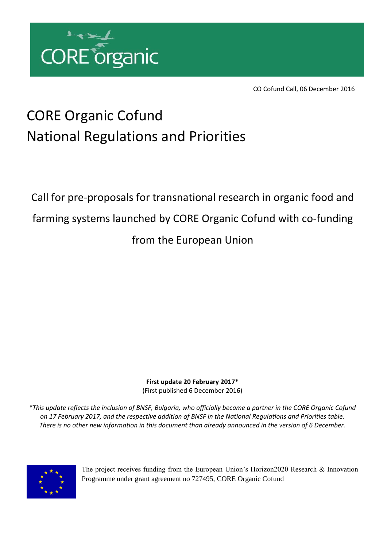

CO Cofund Call, 06 December 2016

## CORE Organic Cofund National Regulations and Priorities

Call for pre‐proposals for transnational research in organic food and farming systems launched by CORE Organic Cofund with co-funding from the European Union

> **First update 20 February 2017\*** (First published 6 December 2016)

*\*This update reflects the inclusion of BNSF, Bulgaria, who officially became a partner in the CORE Organic Cofund on 17 February 2017, and the respective addition of BNSF in the National Regulations and Priorities table. There is no other new information in this document than already announced in the version of 6 December.*



The project receives funding from the European Union's Horizon2020 Research & Innovation Programme under grant agreement no 727495, CORE Organic Cofund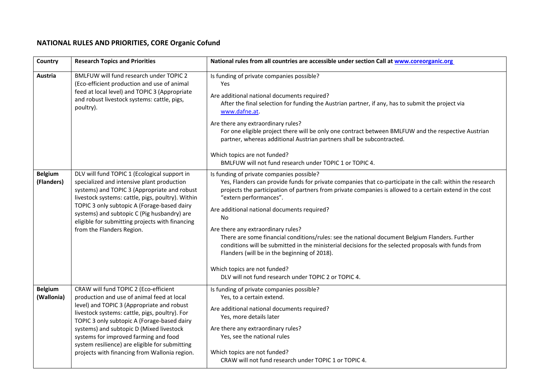## **NATIONAL RULES AND PRIORITIES, CORE Organic Cofund**

| Country                      | <b>Research Topics and Priorities</b>                                                                                                                                                                                                                                                                                                                                                                                      | National rules from all countries are accessible under section Call at www.coreorganic.org                                                                                                                                                                                                                                                                                                                                                                                                                                                                                                                                                                                                                                                        |
|------------------------------|----------------------------------------------------------------------------------------------------------------------------------------------------------------------------------------------------------------------------------------------------------------------------------------------------------------------------------------------------------------------------------------------------------------------------|---------------------------------------------------------------------------------------------------------------------------------------------------------------------------------------------------------------------------------------------------------------------------------------------------------------------------------------------------------------------------------------------------------------------------------------------------------------------------------------------------------------------------------------------------------------------------------------------------------------------------------------------------------------------------------------------------------------------------------------------------|
| Austria                      | BMLFUW will fund research under TOPIC 2<br>(Eco-efficient production and use of animal<br>feed at local level) and TOPIC 3 (Appropriate<br>and robust livestock systems: cattle, pigs,<br>poultry).                                                                                                                                                                                                                        | Is funding of private companies possible?<br>Yes<br>Are additional national documents required?<br>After the final selection for funding the Austrian partner, if any, has to submit the project via<br>www.dafne.at.<br>Are there any extraordinary rules?<br>For one eligible project there will be only one contract between BMLFUW and the respective Austrian<br>partner, whereas additional Austrian partners shall be subcontracted.<br>Which topics are not funded?<br>BMLFUW will not fund research under TOPIC 1 or TOPIC 4.                                                                                                                                                                                                            |
| <b>Belgium</b><br>(Flanders) | DLV will fund TOPIC 1 (Ecological support in<br>specialized and intensive plant production<br>systems) and TOPIC 3 (Appropriate and robust<br>livestock systems: cattle, pigs, poultry). Within<br>TOPIC 3 only subtopic A (Forage-based dairy<br>systems) and subtopic C (Pig husbandry) are<br>eligible for submitting projects with financing<br>from the Flanders Region.                                              | Is funding of private companies possible?<br>Yes, Flanders can provide funds for private companies that co-participate in the call: within the research<br>projects the participation of partners from private companies is allowed to a certain extend in the cost<br>"extern performances".<br>Are additional national documents required?<br><b>No</b><br>Are there any extraordinary rules?<br>There are some financial conditions/rules: see the national document Belgium Flanders. Further<br>conditions will be submitted in the ministerial decisions for the selected proposals with funds from<br>Flanders (will be in the beginning of 2018).<br>Which topics are not funded?<br>DLV will not fund research under TOPIC 2 or TOPIC 4. |
| <b>Belgium</b><br>(Wallonia) | CRAW will fund TOPIC 2 (Eco-efficient<br>production and use of animal feed at local<br>level) and TOPIC 3 (Appropriate and robust<br>livestock systems: cattle, pigs, poultry). For<br>TOPIC 3 only subtopic A (Forage-based dairy<br>systems) and subtopic D (Mixed livestock<br>systems for improved farming and food<br>system resilience) are eligible for submitting<br>projects with financing from Wallonia region. | Is funding of private companies possible?<br>Yes, to a certain extend.<br>Are additional national documents required?<br>Yes, more details later<br>Are there any extraordinary rules?<br>Yes, see the national rules<br>Which topics are not funded?<br>CRAW will not fund research under TOPIC 1 or TOPIC 4.                                                                                                                                                                                                                                                                                                                                                                                                                                    |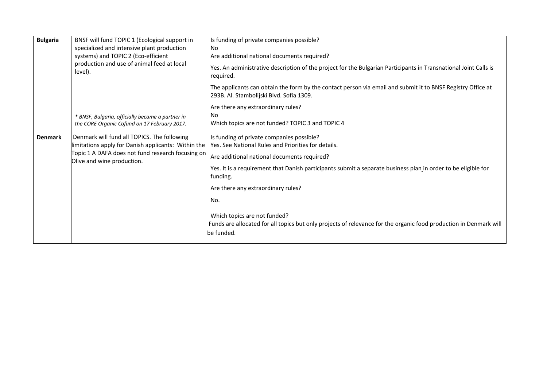| <b>Bulgaria</b> | BNSF will fund TOPIC 1 (Ecological support in<br>specialized and intensive plant production<br>systems) and TOPIC 2 (Eco-efficient<br>production and use of animal feed at local<br>level). | Is funding of private companies possible?<br>No<br>Are additional national documents required?<br>Yes. An administrative description of the project for the Bulgarian Participants in Transnational Joint Calls is<br>required.                                                                                                                                                                                                                                                              |
|-----------------|---------------------------------------------------------------------------------------------------------------------------------------------------------------------------------------------|----------------------------------------------------------------------------------------------------------------------------------------------------------------------------------------------------------------------------------------------------------------------------------------------------------------------------------------------------------------------------------------------------------------------------------------------------------------------------------------------|
|                 |                                                                                                                                                                                             | The applicants can obtain the form by the contact person via email and submit it to BNSF Registry Office at<br>293B. Al. Stambolijski Blvd. Sofia 1309.                                                                                                                                                                                                                                                                                                                                      |
|                 | * BNSF, Bulgaria, officially became a partner in<br>the CORE Organic Cofund on 17 February 2017.                                                                                            | Are there any extraordinary rules?<br>No<br>Which topics are not funded? TOPIC 3 and TOPIC 4                                                                                                                                                                                                                                                                                                                                                                                                 |
| <b>Denmark</b>  | Denmark will fund all TOPICS. The following<br>limitations apply for Danish applicants: Within the<br>Topic 1 A DAFA does not fund research focusing on<br>Olive and wine production.       | Is funding of private companies possible?<br>Yes. See National Rules and Priorities for details.<br>Are additional national documents required?<br>Yes. It is a requirement that Danish participants submit a separate business plan in order to be eligible for<br>funding.<br>Are there any extraordinary rules?<br>No.<br>Which topics are not funded?<br>Funds are allocated for all topics but only projects of relevance for the organic food production in Denmark will<br>be funded. |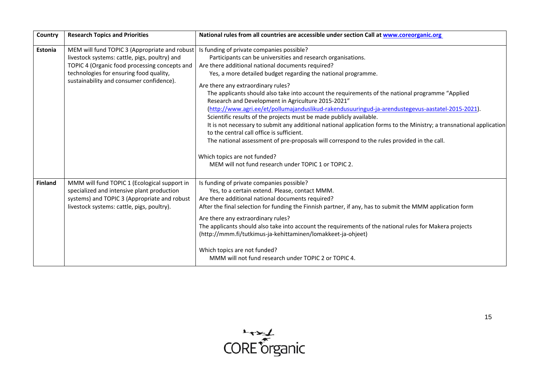| Country        | <b>Research Topics and Priorities</b>                                                                                                                                                                                                  | National rules from all countries are accessible under section Call at www.coreorganic.org                                                                                                                                                                                                                                                                                                                                                                                                                                                                                                                                                                                                                                                                                                                                                                                                                                                                               |
|----------------|----------------------------------------------------------------------------------------------------------------------------------------------------------------------------------------------------------------------------------------|--------------------------------------------------------------------------------------------------------------------------------------------------------------------------------------------------------------------------------------------------------------------------------------------------------------------------------------------------------------------------------------------------------------------------------------------------------------------------------------------------------------------------------------------------------------------------------------------------------------------------------------------------------------------------------------------------------------------------------------------------------------------------------------------------------------------------------------------------------------------------------------------------------------------------------------------------------------------------|
| Estonia        | MEM will fund TOPIC 3 (Appropriate and robust<br>livestock systems: cattle, pigs, poultry) and<br>TOPIC 4 (Organic food processing concepts and<br>technologies for ensuring food quality,<br>sustainability and consumer confidence). | Is funding of private companies possible?<br>Participants can be universities and research organisations.<br>Are there additional national documents required?<br>Yes, a more detailed budget regarding the national programme.<br>Are there any extraordinary rules?<br>The applicants should also take into account the requirements of the national programme "Applied"<br>Research and Development in Agriculture 2015-2021"<br>(http://www.agri.ee/et/pollumajanduslikud-rakendusuuringud-ja-arendustegevus-aastatel-2015-2021).<br>Scientific results of the projects must be made publicly available.<br>It is not necessary to submit any additional national application forms to the Ministry; a transnational application<br>to the central call office is sufficient.<br>The national assessment of pre-proposals will correspond to the rules provided in the call.<br>Which topics are not funded?<br>MEM will not fund research under TOPIC 1 or TOPIC 2. |
| <b>Finland</b> | MMM will fund TOPIC 1 (Ecological support in<br>specialized and intensive plant production<br>systems) and TOPIC 3 (Appropriate and robust<br>livestock systems: cattle, pigs, poultry).                                               | Is funding of private companies possible?<br>Yes, to a certain extend. Please, contact MMM.<br>Are there additional national documents required?<br>After the final selection for funding the Finnish partner, if any, has to submit the MMM application form<br>Are there any extraordinary rules?<br>The applicants should also take into account the requirements of the national rules for Makera projects<br>(http://mmm.fi/tutkimus-ja-kehittaminen/lomakkeet-ja-ohjeet)<br>Which topics are not funded?<br>MMM will not fund research under TOPIC 2 or TOPIC 4.                                                                                                                                                                                                                                                                                                                                                                                                   |

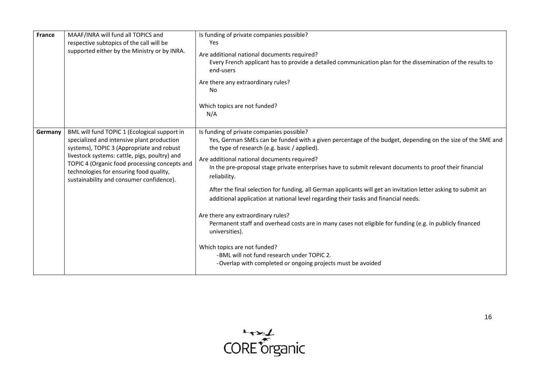| France  | MAAF/INRA will fund all TOPICS and<br>respective subtopics of the call will be<br>supported either by the Ministry or by INRA.                                                                                                                                                                                                   | Is funding of private companies possible?<br>Yes<br>Are additional national documents required?<br>Every French applicant has to provide a detailed communication plan for the dissemination of the results to<br>end-users<br>Are there any extraordinary rules?<br>No<br>Which topics are not funded?<br>N/A                                                                                                                                                                                                                                                                                                                                                                                                                                                                                                                                                                                               |
|---------|----------------------------------------------------------------------------------------------------------------------------------------------------------------------------------------------------------------------------------------------------------------------------------------------------------------------------------|--------------------------------------------------------------------------------------------------------------------------------------------------------------------------------------------------------------------------------------------------------------------------------------------------------------------------------------------------------------------------------------------------------------------------------------------------------------------------------------------------------------------------------------------------------------------------------------------------------------------------------------------------------------------------------------------------------------------------------------------------------------------------------------------------------------------------------------------------------------------------------------------------------------|
| Germany | BML will fund TOPIC 1 (Ecological support in<br>specialized and intensive plant production<br>systems), TOPIC 3 (Appropriate and robust<br>livestock systems: cattle, pigs, poultry) and<br>TOPIC 4 (Organic food processing concepts and<br>technologies for ensuring food quality,<br>sustainability and consumer confidence). | Is funding of private companies possible?<br>Yes, German SMEs can be funded with a given percentage of the budget, depending on the size of the SME and<br>the type of research (e.g. basic / applied).<br>Are additional national documents required?<br>In the pre-proposal stage private enterprises have to submit relevant documents to proof their financial<br>reliability.<br>After the final selection for funding, all German applicants will get an invitation letter asking to submit an<br>additional application at national level regarding their tasks and financial needs.<br>Are there any extraordinary rules?<br>Permanent staff and overhead costs are in many cases not eligible for funding (e.g. in publicly financed<br>universities).<br>Which topics are not funded?<br>-BML will not fund research under TOPIC 2.<br>-Overlap with completed or ongoing projects must be avoided |

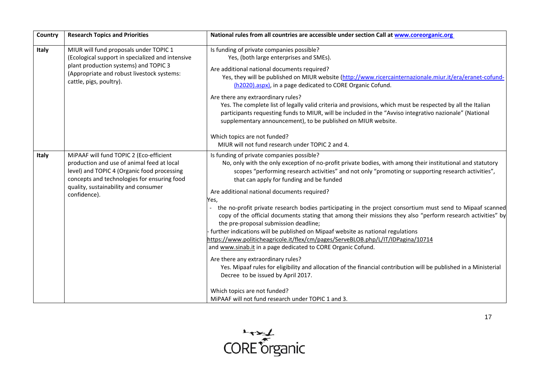| Country | <b>Research Topics and Priorities</b>                                                                                                                                                                                                       | National rules from all countries are accessible under section Call at www.coreorganic.org                                                                                                                                                                                                                                                                                                                                                                                                                                                                                                                                                                                                                                                                                                                                                                                                                                                                                                                                                                                                                     |
|---------|---------------------------------------------------------------------------------------------------------------------------------------------------------------------------------------------------------------------------------------------|----------------------------------------------------------------------------------------------------------------------------------------------------------------------------------------------------------------------------------------------------------------------------------------------------------------------------------------------------------------------------------------------------------------------------------------------------------------------------------------------------------------------------------------------------------------------------------------------------------------------------------------------------------------------------------------------------------------------------------------------------------------------------------------------------------------------------------------------------------------------------------------------------------------------------------------------------------------------------------------------------------------------------------------------------------------------------------------------------------------|
| Italy   | MIUR will fund proposals under TOPIC 1<br>(Ecological support in specialized and intensive<br>plant production systems) and TOPIC 3<br>(Appropriate and robust livestock systems:<br>cattle, pigs, poultry).                                | Is funding of private companies possible?<br>Yes, (both large enterprises and SMEs).<br>Are additional national documents required?<br>Yes, they will be published on MIUR website (http://www.ricercainternazionale.miur.it/era/eranet-cofund-<br>(h2020).aspx), in a page dedicated to CORE Organic Cofund.<br>Are there any extraordinary rules?<br>Yes. The complete list of legally valid criteria and provisions, which must be respected by all the Italian<br>participants requesting funds to MIUR, will be included in the "Avviso integrativo nazionale" (National<br>supplementary announcement), to be published on MIUR website.<br>Which topics are not funded?                                                                                                                                                                                                                                                                                                                                                                                                                                 |
|         |                                                                                                                                                                                                                                             | MIUR will not fund research under TOPIC 2 and 4.                                                                                                                                                                                                                                                                                                                                                                                                                                                                                                                                                                                                                                                                                                                                                                                                                                                                                                                                                                                                                                                               |
| Italy   | MiPAAF will fund TOPIC 2 (Eco-efficient<br>production and use of animal feed at local<br>level) and TOPIC 4 (Organic food processing<br>concepts and technologies for ensuring food<br>quality, sustainability and consumer<br>confidence). | Is funding of private companies possible?<br>No, only with the only exception of no-profit private bodies, with among their institutional and statutory<br>scopes "performing research activities" and not only "promoting or supporting research activities",<br>that can apply for funding and be funded<br>Are additional national documents required?<br>Yes,<br>the no-profit private research bodies participating in the project consortium must send to Mipaaf scanned<br>copy of the official documents stating that among their missions they also "perform research activities" by<br>the pre-proposal submission deadline;<br>further indications will be published on Mipaaf website as national regulations<br>https://www.politicheagricole.it/flex/cm/pages/ServeBLOB.php/L/IT/IDPagina/10714<br>and www.sinab.it in a page dedicated to CORE Organic Cofund.<br>Are there any extraordinary rules?<br>Yes. Mipaaf rules for eligibility and allocation of the financial contribution will be published in a Ministerial<br>Decree to be issued by April 2017.<br>Which topics are not funded? |
|         |                                                                                                                                                                                                                                             | MiPAAF will not fund research under TOPIC 1 and 3.                                                                                                                                                                                                                                                                                                                                                                                                                                                                                                                                                                                                                                                                                                                                                                                                                                                                                                                                                                                                                                                             |

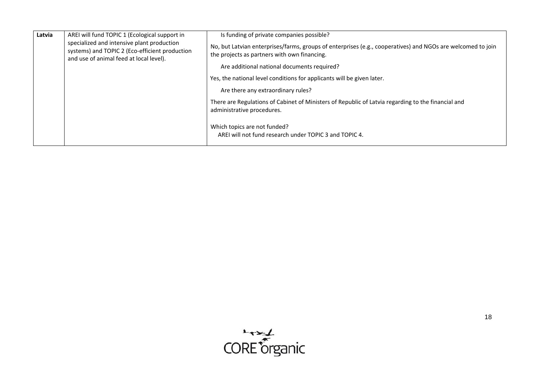| Latvia | AREI will fund TOPIC 1 (Ecological support in                                                                                           | Is funding of private companies possible?                                                                                                                   |
|--------|-----------------------------------------------------------------------------------------------------------------------------------------|-------------------------------------------------------------------------------------------------------------------------------------------------------------|
|        | specialized and intensive plant production<br>systems) and TOPIC 2 (Eco-efficient production<br>and use of animal feed at local level). | No, but Latvian enterprises/farms, groups of enterprises (e.g., cooperatives) and NGOs are welcomed to join<br>the projects as partners with own financing. |
|        |                                                                                                                                         | Are additional national documents required?                                                                                                                 |
|        |                                                                                                                                         | Yes, the national level conditions for applicants will be given later.                                                                                      |
|        |                                                                                                                                         | Are there any extraordinary rules?                                                                                                                          |
|        | There are Regulations of Cabinet of Ministers of Republic of Latvia regarding to the financial and<br>administrative procedures.        |                                                                                                                                                             |
|        |                                                                                                                                         | Which topics are not funded?<br>AREI will not fund research under TOPIC 3 and TOPIC 4.                                                                      |

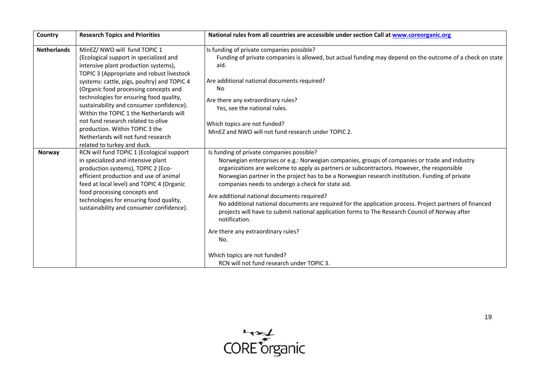| Country                      | <b>Research Topics and Priorities</b>                                                                                                                                                                                                                                                                                                                                                                                                                                                                                                                                                                                                                                                                                                                                                                                         | National rules from all countries are accessible under section Call at www.coreorganic.org                                                                                                                                                                                                                                                                                                                                                                                                                                                                                                                                                                                                                                                                                                                                                                                                                                                     |
|------------------------------|-------------------------------------------------------------------------------------------------------------------------------------------------------------------------------------------------------------------------------------------------------------------------------------------------------------------------------------------------------------------------------------------------------------------------------------------------------------------------------------------------------------------------------------------------------------------------------------------------------------------------------------------------------------------------------------------------------------------------------------------------------------------------------------------------------------------------------|------------------------------------------------------------------------------------------------------------------------------------------------------------------------------------------------------------------------------------------------------------------------------------------------------------------------------------------------------------------------------------------------------------------------------------------------------------------------------------------------------------------------------------------------------------------------------------------------------------------------------------------------------------------------------------------------------------------------------------------------------------------------------------------------------------------------------------------------------------------------------------------------------------------------------------------------|
| <b>Netherlands</b><br>Norway | MinEZ/ NWO will fund TOPIC 1<br>(Ecological support in specialized and<br>intensive plant production systems),<br>TOPIC 3 (Appropriate and robust livestock<br>systems: cattle, pigs, poultry) and TOPIC 4<br>(Organic food processing concepts and<br>technologies for ensuring food quality,<br>sustainability and consumer confidence).<br>Within the TOPIC 1 the Netherlands will<br>not fund research related to olive<br>production. Within TOPIC 3 the<br>Netherlands will not fund research<br>related to turkey and duck.<br>RCN will fund TOPIC 1 (Ecological support<br>in specialized and intensive plant<br>production systems), TOPIC 2 (Eco-<br>efficient production and use of animal<br>feed at local level) and TOPIC 4 (Organic<br>food processing concepts and<br>technologies for ensuring food quality, | Is funding of private companies possible?<br>Funding of private companies is allowed, but actual funding may depend on the outcome of a check on state<br>aid.<br>Are additional national documents required?<br>No<br>Are there any extraordinary rules?<br>Yes, see the national rules.<br>Which topics are not funded?<br>MinEZ and NWO will not fund research under TOPIC 2.<br>Is funding of private companies possible?<br>Norwegian enterprises or e.g.: Norwegian companies, groups of companies or trade and industry<br>organizations are welcome to apply as partners or subcontractors. However, the responsible<br>Norwegian partner in the project has to be a Norwegian research institution. Funding of private<br>companies needs to undergo a check for state aid.<br>Are additional national documents required?<br>No additional national documents are required for the application process. Project partners of financed |
|                              | sustainability and consumer confidence).                                                                                                                                                                                                                                                                                                                                                                                                                                                                                                                                                                                                                                                                                                                                                                                      | projects will have to submit national application forms to The Research Council of Norway after<br>notification.                                                                                                                                                                                                                                                                                                                                                                                                                                                                                                                                                                                                                                                                                                                                                                                                                               |
|                              |                                                                                                                                                                                                                                                                                                                                                                                                                                                                                                                                                                                                                                                                                                                                                                                                                               | Are there any extraordinary rules?<br>No.                                                                                                                                                                                                                                                                                                                                                                                                                                                                                                                                                                                                                                                                                                                                                                                                                                                                                                      |
|                              |                                                                                                                                                                                                                                                                                                                                                                                                                                                                                                                                                                                                                                                                                                                                                                                                                               | Which topics are not funded?<br>RCN will not fund research under TOPIC 3.                                                                                                                                                                                                                                                                                                                                                                                                                                                                                                                                                                                                                                                                                                                                                                                                                                                                      |

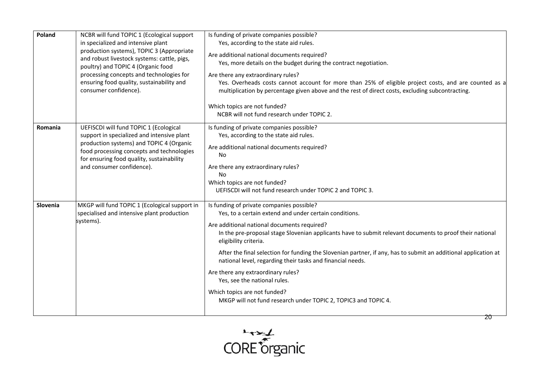| Poland   | NCBR will fund TOPIC 1 (Ecological support<br>in specialized and intensive plant<br>production systems), TOPIC 3 (Appropriate<br>and robust livestock systems: cattle, pigs,<br>poultry) and TOPIC 4 (Organic food<br>processing concepts and technologies for<br>ensuring food quality, sustainability and<br>consumer confidence). | Is funding of private companies possible?<br>Yes, according to the state aid rules.<br>Are additional national documents required?<br>Yes, more details on the budget during the contract negotiation.<br>Are there any extraordinary rules?<br>Yes. Overheads costs cannot account for more than 25% of eligible project costs, and are counted as a<br>multiplication by percentage given above and the rest of direct costs, excluding subcontracting.<br>Which topics are not funded?<br>NCBR will not fund research under TOPIC 2.                                                                                                          |
|----------|--------------------------------------------------------------------------------------------------------------------------------------------------------------------------------------------------------------------------------------------------------------------------------------------------------------------------------------|--------------------------------------------------------------------------------------------------------------------------------------------------------------------------------------------------------------------------------------------------------------------------------------------------------------------------------------------------------------------------------------------------------------------------------------------------------------------------------------------------------------------------------------------------------------------------------------------------------------------------------------------------|
| Romania  | UEFISCDI will fund TOPIC 1 (Ecological<br>support in specialized and intensive plant<br>production systems) and TOPIC 4 (Organic<br>food processing concepts and technologies<br>for ensuring food quality, sustainability<br>and consumer confidence).                                                                              | Is funding of private companies possible?<br>Yes, according to the state aid rules.<br>Are additional national documents required?<br>No<br>Are there any extraordinary rules?<br>No<br>Which topics are not funded?<br>UEFISCDI will not fund research under TOPIC 2 and TOPIC 3.                                                                                                                                                                                                                                                                                                                                                               |
| Slovenia | MKGP will fund TOPIC 1 (Ecological support in<br>specialised and intensive plant production<br>systems).                                                                                                                                                                                                                             | Is funding of private companies possible?<br>Yes, to a certain extend and under certain conditions.<br>Are additional national documents required?<br>In the pre-proposal stage Slovenian applicants have to submit relevant documents to proof their national<br>eligibility criteria.<br>After the final selection for funding the Slovenian partner, if any, has to submit an additional application at<br>national level, regarding their tasks and financial needs.<br>Are there any extraordinary rules?<br>Yes, see the national rules.<br>Which topics are not funded?<br>MKGP will not fund research under TOPIC 2, TOPIC3 and TOPIC 4. |



 $\overline{20}$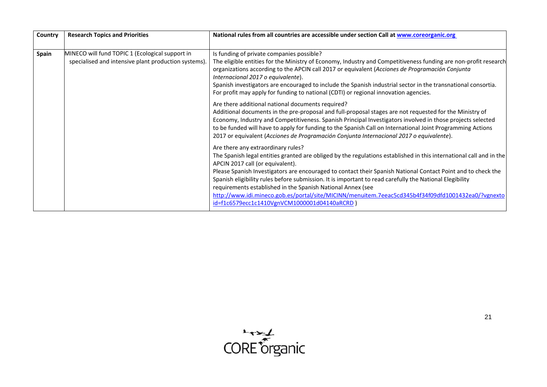| Country      | <b>Research Topics and Priorities</b>                                                                   | National rules from all countries are accessible under section Call at www.coreorganic.org                                                                                                                                                                                                                                                                                                                                                                                                                                                                                                                                                    |
|--------------|---------------------------------------------------------------------------------------------------------|-----------------------------------------------------------------------------------------------------------------------------------------------------------------------------------------------------------------------------------------------------------------------------------------------------------------------------------------------------------------------------------------------------------------------------------------------------------------------------------------------------------------------------------------------------------------------------------------------------------------------------------------------|
| <b>Spain</b> | MINECO will fund TOPIC 1 (Ecological support in<br>specialised and intensive plant production systems). | Is funding of private companies possible?<br>The eligible entities for the Ministry of Economy, Industry and Competitiveness funding are non-profit research<br>organizations according to the APCIN call 2017 or equivalent (Acciones de Programación Conjunta<br>Internacional 2017 o equivalente).<br>Spanish investigators are encouraged to include the Spanish industrial sector in the transnational consortia.<br>For profit may apply for funding to national (CDTI) or regional innovation agencies.                                                                                                                                |
|              |                                                                                                         | Are there additional national documents required?<br>Additional documents in the pre-proposal and full-proposal stages are not requested for the Ministry of<br>Economy, Industry and Competitiveness. Spanish Principal Investigators involved in those projects selected<br>to be funded will have to apply for funding to the Spanish Call on International Joint Programming Actions<br>2017 or equivalent (Acciones de Programación Conjunta Internacional 2017 o equivalente).                                                                                                                                                          |
|              |                                                                                                         | Are there any extraordinary rules?<br>The Spanish legal entities granted are obliged by the regulations established in this international call and in the<br>APCIN 2017 call (or equivalent).<br>Please Spanish Investigators are encouraged to contact their Spanish National Contact Point and to check the<br>Spanish eligibility rules before submission. It is important to read carefully the National Elegibility<br>requirements established in the Spanish National Annex (see<br>http://www.idi.mineco.gob.es/portal/site/MICINN/menuitem.7eeac5cd345b4f34f09dfd1001432ea0/?vgnexto<br>id=f1c6579ecc1c1410VgnVCM1000001d04140aRCRD) |

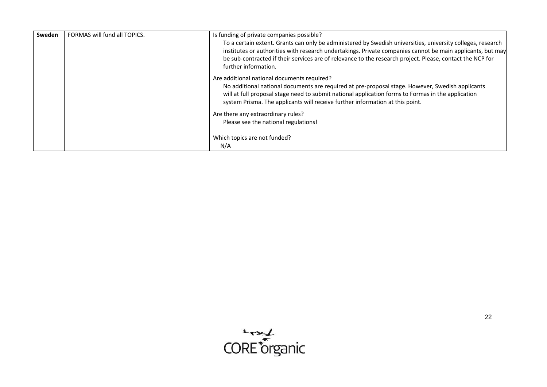| Sweden | FORMAS will fund all TOPICS. | Is funding of private companies possible?                                                                                                                                                                                                                                                                                                                      |
|--------|------------------------------|----------------------------------------------------------------------------------------------------------------------------------------------------------------------------------------------------------------------------------------------------------------------------------------------------------------------------------------------------------------|
|        |                              | To a certain extent. Grants can only be administered by Swedish universities, university colleges, research<br>institutes or authorities with research undertakings. Private companies cannot be main applicants, but may<br>be sub-contracted if their services are of relevance to the research project. Please, contact the NCP for<br>further information. |
|        |                              | Are additional national documents required?<br>No additional national documents are required at pre-proposal stage. However, Swedish applicants<br>will at full proposal stage need to submit national application forms to Formas in the application<br>system Prisma. The applicants will receive further information at this point.                         |
|        |                              | Are there any extraordinary rules?                                                                                                                                                                                                                                                                                                                             |
|        |                              | Please see the national regulations!                                                                                                                                                                                                                                                                                                                           |
|        |                              | Which topics are not funded?                                                                                                                                                                                                                                                                                                                                   |
|        |                              | N/A                                                                                                                                                                                                                                                                                                                                                            |

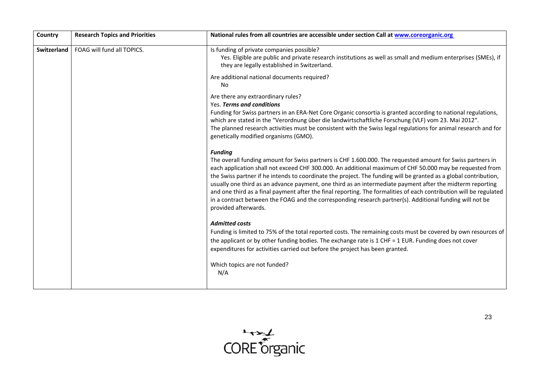| Country     | <b>Research Topics and Priorities</b> | National rules from all countries are accessible under section Call at www.coreorganic.org                                                                                                                                                                                                                                                                                                                                                                                                                                                                                                                                                                                                                                          |
|-------------|---------------------------------------|-------------------------------------------------------------------------------------------------------------------------------------------------------------------------------------------------------------------------------------------------------------------------------------------------------------------------------------------------------------------------------------------------------------------------------------------------------------------------------------------------------------------------------------------------------------------------------------------------------------------------------------------------------------------------------------------------------------------------------------|
| Switzerland | FOAG will fund all TOPICS.            | Is funding of private companies possible?<br>Yes. Eligible are public and private research institutions as well as small and medium enterprises (SMEs), if<br>they are legally established in Switzerland.                                                                                                                                                                                                                                                                                                                                                                                                                                                                                                                          |
|             |                                       | Are additional national documents required?<br>No                                                                                                                                                                                                                                                                                                                                                                                                                                                                                                                                                                                                                                                                                   |
|             |                                       | Are there any extraordinary rules?<br>Yes. Terms and conditions<br>Funding for Swiss partners in an ERA-Net Core Organic consortia is granted according to national regulations,<br>which are stated in the "Verordnung über die landwirtschaftliche Forschung (VLF) vom 23. Mai 2012".<br>The planned research activities must be consistent with the Swiss legal regulations for animal research and for<br>genetically modified organisms (GMO).                                                                                                                                                                                                                                                                                 |
|             |                                       | <b>Funding</b><br>The overall funding amount for Swiss partners is CHF 1.600.000. The requested amount for Swiss partners in<br>each application shall not exceed CHF 300.000. An additional maximum of CHF 50.000 may be requested from<br>the Swiss partner if he intends to coordinate the project. The funding will be granted as a global contribution,<br>usually one third as an advance payment, one third as an intermediate payment after the midterm reporting<br>and one third as a final payment after the final reporting. The formalities of each contribution will be regulated<br>in a contract between the FOAG and the corresponding research partner(s). Additional funding will not be<br>provided afterwards. |
|             |                                       | <b>Admitted costs</b><br>Funding is limited to 75% of the total reported costs. The remaining costs must be covered by own resources of<br>the applicant or by other funding bodies. The exchange rate is 1 CHF = 1 EUR. Funding does not cover<br>expenditures for activities carried out before the project has been granted.<br>Which topics are not funded?<br>N/A                                                                                                                                                                                                                                                                                                                                                              |
|             |                                       |                                                                                                                                                                                                                                                                                                                                                                                                                                                                                                                                                                                                                                                                                                                                     |